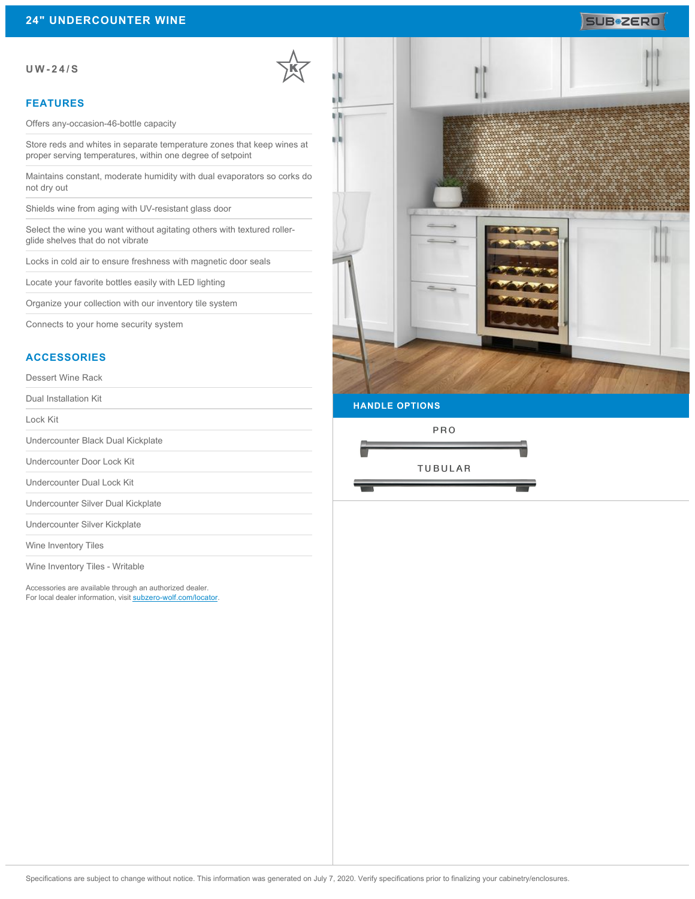# **SUB**\*2ERO

#### **UW-24/S**

### **FEATURES**

Offers any-occasion-46-bottle capacity

Store reds and whites in separate temperature zones that keep wines at proper serving temperatures, within one degree of setpoint

Maintains constant, moderate humidity with dual evaporators so corks do not dry out

Shields wine from aging with UV-resistant glass door

Select the wine you want without agitating others with textured rollerglide shelves that do not vibrate

Locks in cold air to ensure freshness with magnetic door seals

Locate your favorite bottles easily with LED lighting

Organize your collection with our inventory tile system

Connects to your home security system

### **ACCESSORIES**

Dessert Wine Rack

Dual Installation Kit

Lock Kit

Undercounter Black Dual Kickplate

Undercounter Door Lock Kit

Undercounter Dual Lock Kit

Undercounter Silver Dual Kickplate

Undercounter Silver Kickplate

Wine Inventory Tiles

Wine Inventory Tiles - Writable

Accessories are available through an authorized dealer. For local dealer information, visit [subzero-wolf.com/locator.](http://www.subzero-wolf.com/locator)



**HANDLE OPTIONS**

PRO